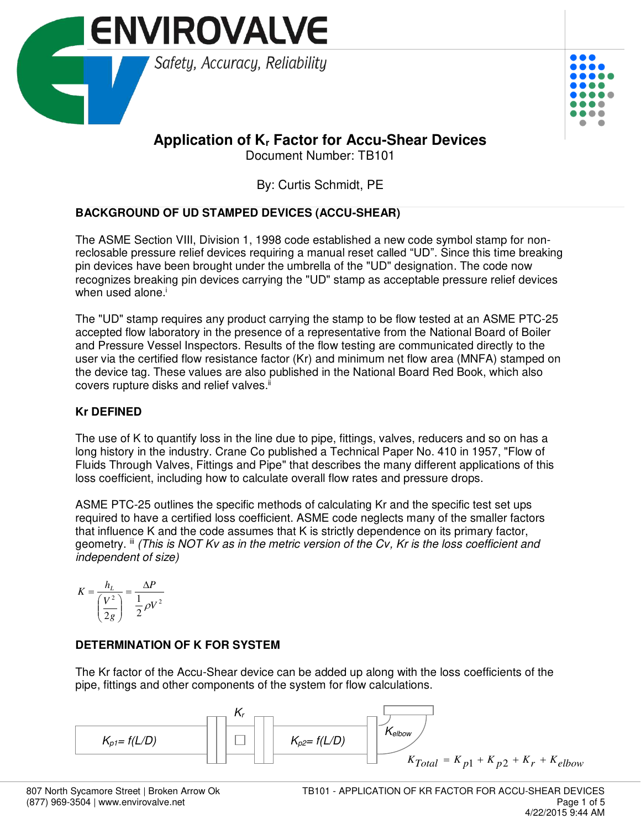



# **Application of Kr Factor for Accu-Shear Devices**

Document Number: TB101

By: Curtis Schmidt, PE

## **BACKGROUND OF UD STAMPED DEVICES (ACCU-SHEAR)**

The ASME Section VIII, Division 1, 1998 code established a new code symbol stamp for nonreclosable pressure relief devices requiring a manual reset called "UD". Since this time breaking pin devices have been brought under the umbrella of the "UD" designation. The code now recognizes breaking pin devices carrying the "UD" stamp as acceptable pressure relief devices when used alone. $i$ 

The "UD" stamp requires any product carrying the stamp to be flow tested at an ASME PTC-25 accepted flow laboratory in the presence of a representative from the National Board of Boiler and Pressure Vessel Inspectors. Results of the flow testing are communicated directly to the user via the certified flow resistance factor (Kr) and minimum net flow area (MNFA) stamped on the device tag. These values are also published in the National Board Red Book, which also covers rupture disks and relief valves.<sup>ii</sup>

# **Kr DEFINED**

The use of K to quantify loss in the line due to pipe, fittings, valves, reducers and so on has a long history in the industry. Crane Co published a Technical Paper No. 410 in 1957, "Flow of Fluids Through Valves, Fittings and Pipe" that describes the many different applications of this loss coefficient, including how to calculate overall flow rates and pressure drops.

ASME PTC-25 outlines the specific methods of calculating Kr and the specific test set ups required to have a certified loss coefficient. ASME code neglects many of the smaller factors that influence K and the code assumes that K is strictly dependence on its primary factor, geometry. iii *(This is NOT Kv as in the metric version of the Cv, Kr is the loss coefficient and independent of size)*

$$
K = \frac{h_L}{\left(\frac{V^2}{2g}\right)} = \frac{\Delta P}{\frac{1}{2}\rho V^2}
$$

## **DETERMINATION OF K FOR SYSTEM**

The Kr factor of the Accu-Shear device can be added up along with the loss coefficients of the pipe, fittings and other components of the system for flow calculations.

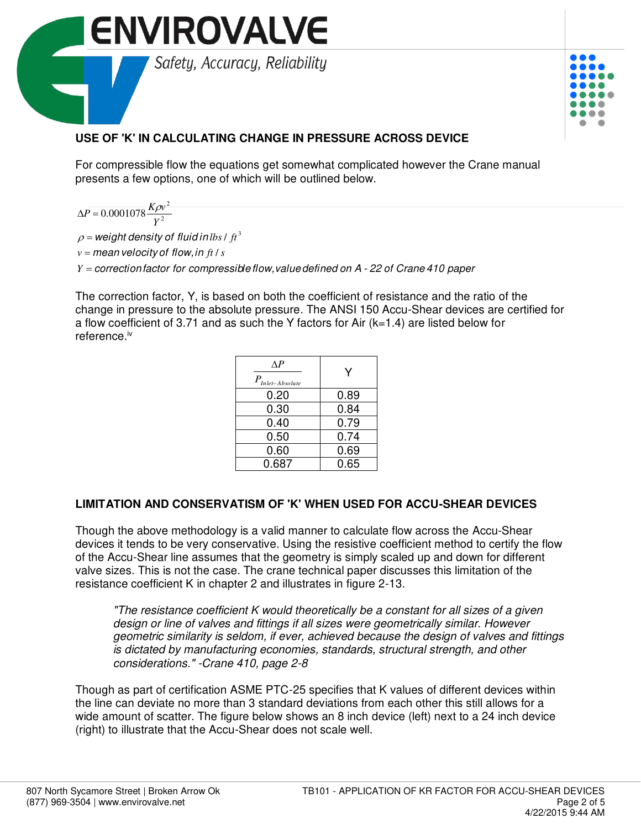



# **USE OF 'K' IN CALCULATING CHANGE IN PRESSURE ACROSS DEVICE**

For compressible flow the equations get somewhat complicated however the Crane manual presents a few options, one of which will be outlined below.

 $\Delta P =$ *Y*  $P = 0.0001078 \frac{K \rho v}{V^2}$  $\sqrt{\rho v^2}$ 

 $\rho$  = weight density of fluid in lbs /  $ft^3$ 

 $v =$  *mean* velocity of flow, in ft / s

*Y* = correction factor for compressible flow, value defined on A - 22 of Crane 410 paper

The correction factor, Y, is based on both the coefficient of resistance and the ratio of the change in pressure to the absolute pressure. The ANSI 150 Accu-Shear devices are certified for a flow coefficient of 3.71 and as such the Y factors for Air ( $k=1.4$ ) are listed below for reference.iv

| $\Lambda P$<br>$P_{\text{Inlet-Absolute}}$ | Y    |
|--------------------------------------------|------|
| 0.20                                       | 0.89 |
| 0.30                                       | 0.84 |
| 0.40                                       | 0.79 |
| 0.50                                       | 0.74 |
| 0.60                                       | 0.69 |
| 0.687                                      | 0.65 |

#### **LIMITATION AND CONSERVATISM OF 'K' WHEN USED FOR ACCU-SHEAR DEVICES**

Though the above methodology is a valid manner to calculate flow across the Accu-Shear devices it tends to be very conservative. Using the resistive coefficient method to certify the flow of the Accu-Shear line assumes that the geometry is simply scaled up and down for different valve sizes. This is not the case. The crane technical paper discusses this limitation of the resistance coefficient K in chapter 2 and illustrates in figure 2-13.

*"The resistance coefficient K would theoretically be a constant for all sizes of a given design or line of valves and fittings if all sizes were geometrically similar. However geometric similarity is seldom, if ever, achieved because the design of valves and fittings is dictated by manufacturing economies, standards, structural strength, and other considerations." -Crane 410, page 2-8* 

Though as part of certification ASME PTC-25 specifies that K values of different devices within the line can deviate no more than 3 standard deviations from each other this still allows for a wide amount of scatter. The figure below shows an 8 inch device (left) next to a 24 inch device (right) to illustrate that the Accu-Shear does not scale well.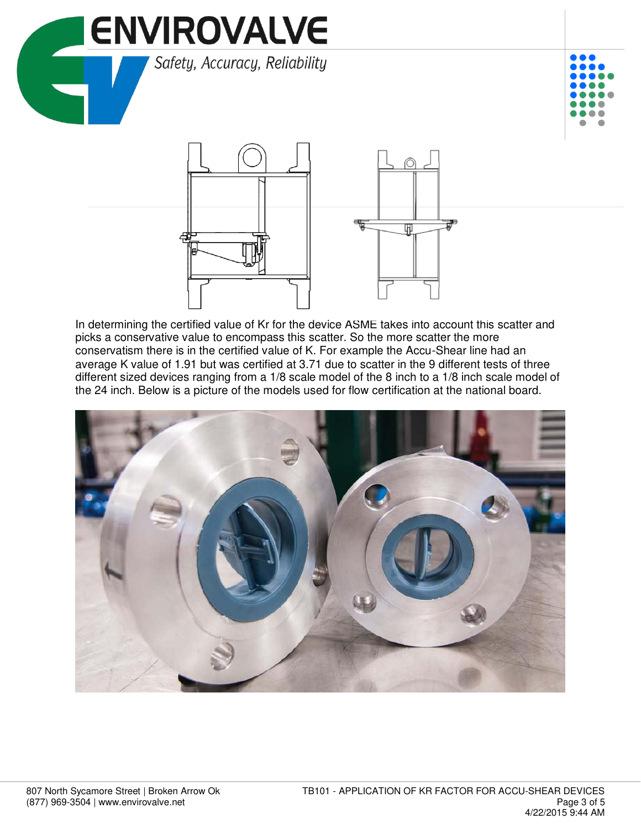





In determining the certified value of Kr for the device ASME takes into account this scatter and picks a conservative value to encompass this scatter. So the more scatter the more conservatism there is in the certified value of K. For example the Accu-Shear line had an average K value of 1.91 but was certified at 3.71 due to scatter in the 9 different tests of three different sized devices ranging from a 1/8 scale model of the 8 inch to a 1/8 inch scale model of the 24 inch. Below is a picture of the models used for flow certification at the national board.

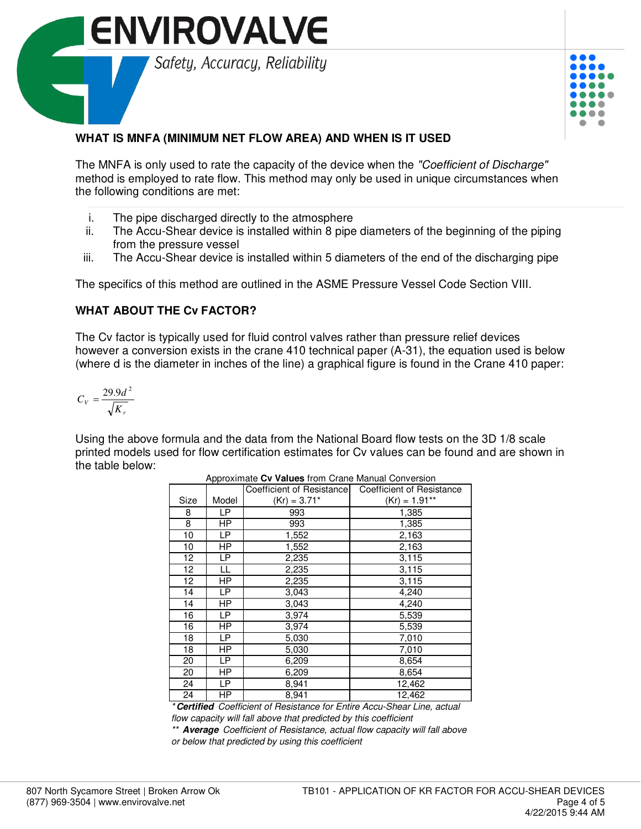



### **WHAT IS MNFA (MINIMUM NET FLOW AREA) AND WHEN IS IT USED**

The MNFA is only used to rate the capacity of the device when the *"Coefficient of Discharge"* method is employed to rate flow. This method may only be used in unique circumstances when the following conditions are met:

- i. The pipe discharged directly to the atmosphere
- ii. The Accu-Shear device is installed within 8 pipe diameters of the beginning of the piping from the pressure vessel
- iii. The Accu-Shear device is installed within 5 diameters of the end of the discharging pipe

The specifics of this method are outlined in the ASME Pressure Vessel Code Section VIII.

#### **WHAT ABOUT THE Cv FACTOR?**

The Cv factor is typically used for fluid control valves rather than pressure relief devices however a conversion exists in the crane 410 technical paper (A-31), the equation used is below (where d is the diameter in inches of the line) a graphical figure is found in the Crane 410 paper:

$$
C_V = \frac{29.9 d^2}{\sqrt{K_r}}
$$

Using the above formula and the data from the National Board flow tests on the 3D 1/8 scale printed models used for flow certification estimates for Cv values can be found and are shown in the table below:

|                 |           | Coefficient of Resistance | Coefficient of Resistance |
|-----------------|-----------|---------------------------|---------------------------|
| Size            | Model     | $(Kr) = 3.71*$            | $(Kr) = 1.91**$           |
| 8               | LP        | 993                       | 1,385                     |
| 8               | <b>HP</b> | 993                       | 1,385                     |
| 10              | <b>LP</b> | 1,552                     | 2,163                     |
| 10              | HP        | 1,552                     | 2,163                     |
| 12 <sup>2</sup> | <b>LP</b> | 2,235                     | 3,115                     |
| 12              | LL        | 2,235                     | 3,115                     |
| 12 <sup>2</sup> | ΗP        | 2,235                     | 3,115                     |
| 14              | <b>LP</b> | 3,043                     | 4,240                     |
| 14              | ΗP        | 3,043                     | 4,240                     |
| 16              | LP        | 3,974                     | 5,539                     |
| 16              | <b>HP</b> | 3,974                     | 5,539                     |
| 18              | <b>LP</b> | 5,030                     | 7,010                     |
| 18              | <b>HP</b> | 5,030                     | 7,010                     |
| 20              | LP        | 6,209                     | 8,654                     |
| 20              | HP        | 6,209                     | 8,654                     |
| 24              | <b>LP</b> | 8,941                     | 12,462                    |
| 24              | ΗP        | 8,941                     | 12,462                    |

Approximate **Cv Values** from Crane Manual Conversion

*\* Certified Coefficient of Resistance for Entire Accu-Shear Line, actual flow capacity will fall above that predicted by this coefficient*

*\*\* Average Coefficient of Resistance, actual flow capacity will fall above or below that predicted by using this coefficient*